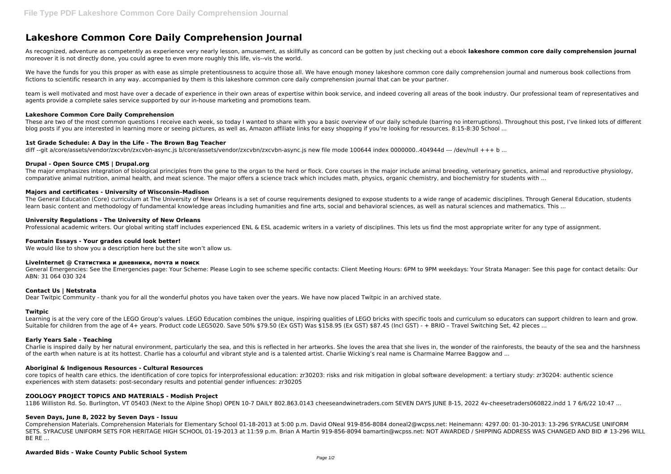# **Lakeshore Common Core Daily Comprehension Journal**

As recognized, adventure as competently as experience very nearly lesson, amusement, as skillfully as concord can be gotten by just checking out a ebook **lakeshore common core daily comprehension journal** moreover it is not directly done, you could agree to even more roughly this life, vis--vis the world.

We have the funds for you this proper as with ease as simple pretentiousness to acquire those all. We have enough money lakeshore common core daily comprehension journal and numerous book collections from fictions to scientific research in any way. accompanied by them is this lakeshore common core daily comprehension journal that can be your partner.

team is well motivated and most have over a decade of experience in their own areas of expertise within book service, and indeed covering all areas of the book industry. Our professional team of representatives and agents provide a complete sales service supported by our in-house marketing and promotions team.

These are two of the most common questions I receive each week, so today I wanted to share with you a basic overview of our daily schedule (barring no interruptions). Throughout this post, I've linked lots of different blog posts if you are interested in learning more or seeing pictures, as well as, Amazon affiliate links for easy shopping if you're looking for resources. 8:15-8:30 School ...

The major emphasizes integration of biological principles from the gene to the organ to the herd or flock. Core courses in the major include animal breeding, veterinary genetics, animal and reproductive physiology, comparative animal nutrition, animal health, and meat science. The major offers a science track which includes math, physics, organic chemistry, and biochemistry for students with ...

# **Lakeshore Common Core Daily Comprehension**

The General Education (Core) curriculum at The University of New Orleans is a set of course requirements designed to expose students to a wide range of academic disciplines. Through General Education, students learn basic content and methodology of fundamental knowledge areas including humanities and fine arts, social and behavioral sciences, as well as natural sciences and mathematics. This ...

# **1st Grade Schedule: A Day in the Life - The Brown Bag Teacher**

diff --git a/core/assets/vendor/zxcvbn/zxcvbn-async.js b/core/assets/vendor/zxcvbn/zxcvbn-async.js new file mode 100644 index 0000000..404944d --- /dev/null +++ b ...

Learning is at the very core of the LEGO Group's values. LEGO Education combines the unique, inspiring qualities of LEGO bricks with specific tools and curriculum so educators can support children to learn and grow. Suitable for children from the age of 4+ years. Product code LEG5020. Save 50% \$79.50 (Ex GST) Was \$158.95 (Ex GST) \$87.45 (Incl GST) - + BRIO - Travel Switching Set, 42 pieces ...

## **Drupal - Open Source CMS | Drupal.org**

# **Majors and certificates - University of Wisconsin–Madison**

## **University Regulations - The University of New Orleans**

Professional academic writers. Our global writing staff includes experienced ENL & ESL academic writers in a variety of disciplines. This lets us find the most appropriate writer for any type of assignment.

# **Fountain Essays - Your grades could look better!**

We would like to show you a description here but the site won't allow us.

#### **LiveInternet @ Статистика и дневники, почта и поиск**

General Emergencies: See the Emergencies page: Your Scheme: Please Login to see scheme specific contacts: Client Meeting Hours: 6PM to 9PM weekdays: Your Strata Manager: See this page for contact details: Our ABN: 31 064 030 324

# **Contact Us | Netstrata**

Dear Twitpic Community - thank you for all the wonderful photos you have taken over the years. We have now placed Twitpic in an archived state.

#### **Twitpic**

# **Early Years Sale - Teaching**

Charlie is inspired daily by her natural environment, particularly the sea, and this is reflected in her artworks. She loves the area that she lives in, the wonder of the rainforests, the beauty of the sea and the harshness of the earth when nature is at its hottest. Charlie has a colourful and vibrant style and is a talented artist. Charlie Wicking's real name is Charmaine Marree Baggow and ...

# **Aboriginal & Indigenous Resources - Cultural Resources**

core topics of health care ethics. the identification of core topics for interprofessional education: zr30203: risks and risk mitigation in global software development: a tertiary study: zr30204: authentic science experiences with stem datasets: post-secondary results and potential gender influences: zr30205

#### **ZOOLOGY PROJECT TOPICS AND MATERIALS - Modish Project**

1186 Williston Rd. So. Burlington, VT 05403 (Next to the Alpine Shop) OPEN 10-7 DAILY 802.863.0143 cheeseandwinetraders.com SEVEN DAYS JUNE 8-15, 2022 4v-cheesetraders060822.indd 1 7 6/6/22 10:47 ...

## **Seven Days, June 8, 2022 by Seven Days - Issuu**

Comprehension Materials. Comprehension Materials for Elementary School 01-18-2013 at 5:00 p.m. David ONeal 919-856-8084 doneal2@wcpss.net: Heinemann: 4297.00: 01-30-2013: 13-296 SYRACUSE UNIFORM SETS. SYRACUSE UNIFORM SETS FOR HERITAGE HIGH SCHOOL 01-19-2013 at 11:59 p.m. Brian A Martin 919-856-8094 bamartin@wcpss.net: NOT AWARDED / SHIPPING ADDRESS WAS CHANGED AND BID # 13-296 WILL BE RE ...

#### **Awarded Bids - Wake County Public School System**